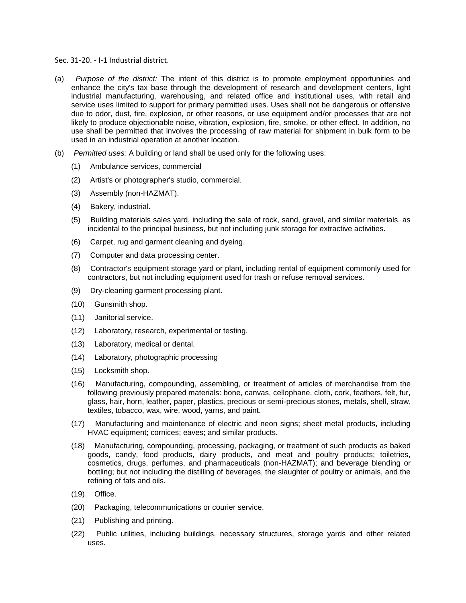Sec. 31-20. - I-1 Industrial district.

- (a) *Purpose of the district:* The intent of this district is to promote employment opportunities and enhance the city's tax base through the development of research and development centers, light industrial manufacturing, warehousing, and related office and institutional uses, with retail and service uses limited to support for primary permitted uses. Uses shall not be dangerous or offensive due to odor, dust, fire, explosion, or other reasons, or use equipment and/or processes that are not likely to produce objectionable noise, vibration, explosion, fire, smoke, or other effect. In addition, no use shall be permitted that involves the processing of raw material for shipment in bulk form to be used in an industrial operation at another location.
- (b) *Permitted uses:* A building or land shall be used only for the following uses:
	- (1) Ambulance services, commercial
	- (2) Artist's or photographer's studio, commercial.
	- (3) Assembly (non-HAZMAT).
	- (4) Bakery, industrial.
	- (5) Building materials sales yard, including the sale of rock, sand, gravel, and similar materials, as incidental to the principal business, but not including junk storage for extractive activities.
	- (6) Carpet, rug and garment cleaning and dyeing.
	- (7) Computer and data processing center.
	- (8) Contractor's equipment storage yard or plant, including rental of equipment commonly used for contractors, but not including equipment used for trash or refuse removal services.
	- (9) Dry-cleaning garment processing plant.
	- (10) Gunsmith shop.
	- (11) Janitorial service.
	- (12) Laboratory, research, experimental or testing.
	- (13) Laboratory, medical or dental.
	- (14) Laboratory, photographic processing
	- (15) Locksmith shop.
	- (16) Manufacturing, compounding, assembling, or treatment of articles of merchandise from the following previously prepared materials: bone, canvas, cellophane, cloth, cork, feathers, felt, fur, glass, hair, horn, leather, paper, plastics, precious or semi-precious stones, metals, shell, straw, textiles, tobacco, wax, wire, wood, yarns, and paint.
	- (17) Manufacturing and maintenance of electric and neon signs; sheet metal products, including HVAC equipment; cornices; eaves; and similar products.
	- (18) Manufacturing, compounding, processing, packaging, or treatment of such products as baked goods, candy, food products, dairy products, and meat and poultry products; toiletries, cosmetics, drugs, perfumes, and pharmaceuticals (non-HAZMAT); and beverage blending or bottling; but not including the distilling of beverages, the slaughter of poultry or animals, and the refining of fats and oils.
	- (19) Office.
	- (20) Packaging, telecommunications or courier service.
	- (21) Publishing and printing.
	- (22) Public utilities, including buildings, necessary structures, storage yards and other related uses.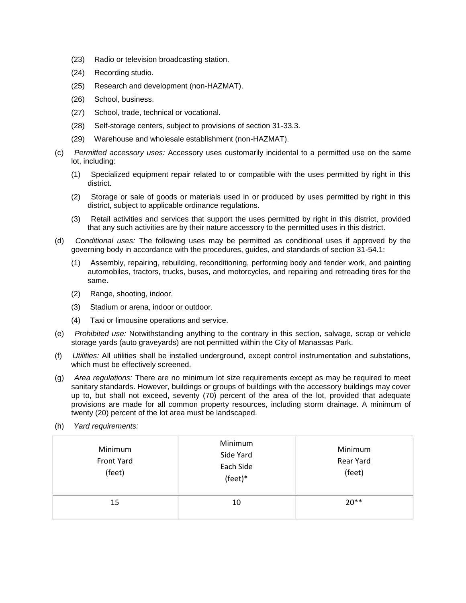- (23) Radio or television broadcasting station.
- (24) Recording studio.
- (25) Research and development (non-HAZMAT).
- (26) School, business.
- (27) School, trade, technical or vocational.
- (28) Self-storage centers, subject to provisions of section 31-33.3.
- (29) Warehouse and wholesale establishment (non-HAZMAT).
- (c) *Permitted accessory uses:* Accessory uses customarily incidental to a permitted use on the same lot, including:
	- (1) Specialized equipment repair related to or compatible with the uses permitted by right in this district.
	- (2) Storage or sale of goods or materials used in or produced by uses permitted by right in this district, subject to applicable ordinance regulations.
	- (3) Retail activities and services that support the uses permitted by right in this district, provided that any such activities are by their nature accessory to the permitted uses in this district.
- (d) *Conditional uses:* The following uses may be permitted as conditional uses if approved by the governing body in accordance with the procedures, guides, and standards of section 31-54.1:
	- (1) Assembly, repairing, rebuilding, reconditioning, performing body and fender work, and painting automobiles, tractors, trucks, buses, and motorcycles, and repairing and retreading tires for the same.
	- (2) Range, shooting, indoor.
	- (3) Stadium or arena, indoor or outdoor.
	- (4) Taxi or limousine operations and service.
- (e) *Prohibited use:* Notwithstanding anything to the contrary in this section, salvage, scrap or vehicle storage yards (auto graveyards) are not permitted within the City of Manassas Park.
- (f) *Utilities:* All utilities shall be installed underground, except control instrumentation and substations, which must be effectively screened.
- (g) *Area regulations:* There are no minimum lot size requirements except as may be required to meet sanitary standards. However, buildings or groups of buildings with the accessory buildings may cover up to, but shall not exceed, seventy (70) percent of the area of the lot, provided that adequate provisions are made for all common property resources, including storm drainage. A minimum of twenty (20) percent of the lot area must be landscaped.
- (h) *Yard requirements:*

| Minimum<br>Front Yard<br>(feet) | Minimum<br>Side Yard<br>Each Side<br>(feet)* | Minimum<br>Rear Yard<br>(feet) |
|---------------------------------|----------------------------------------------|--------------------------------|
| 15                              | 10                                           | $20**$                         |